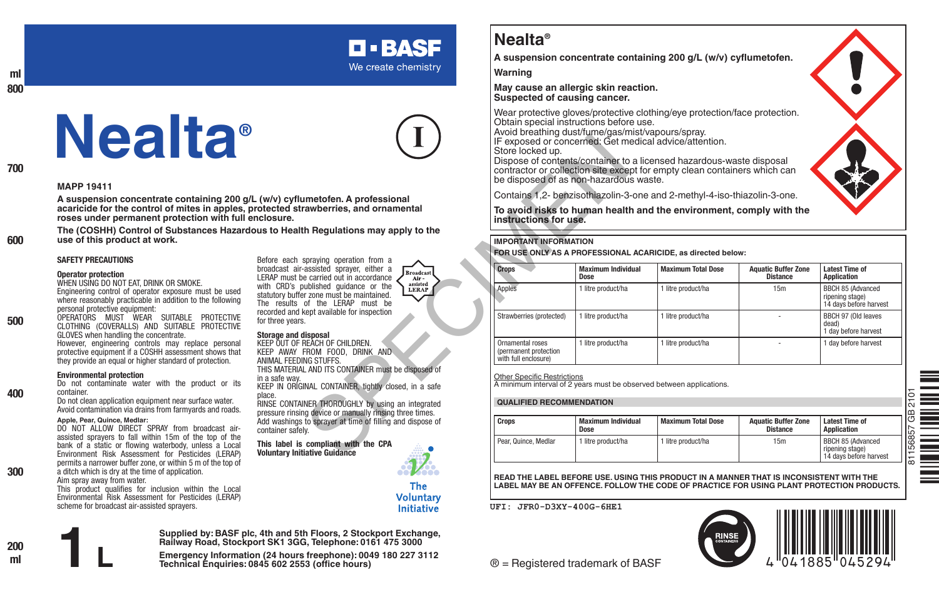# **Nealta®**

**A suspension concentrate containing 200 g/L (w/v) cyflumetofen.**

**Warning**

**May cause an allergic skin reaction. Suspected of causing cancer.**

Wear protective gloves/protective clothing/eye protection/face protection. Obtain special instructions before use.

Avoid breathing dust/fume/gas/mist/vapours/spray. IF exposed or concerned: Get medical advice/attention.

#### **IMPORTANT INFORMATION**

|                                                                                                                    | Store locked up.                                                                                           | IF exposed or concerned: Get medical advice/attention.<br>be disposed of as non-hazardous waste. | Dispose of contents/container to a licensed hazardous-waste disposal<br>contractor or collection site except for empty clean containers which can |                                               |                                                                |  |  |
|--------------------------------------------------------------------------------------------------------------------|------------------------------------------------------------------------------------------------------------|--------------------------------------------------------------------------------------------------|---------------------------------------------------------------------------------------------------------------------------------------------------|-----------------------------------------------|----------------------------------------------------------------|--|--|
| metofen. A professional                                                                                            |                                                                                                            |                                                                                                  | Contains 1,2- benzisothiazolin-3-one and 2-methyl-4-iso-thiazolin-3-one.                                                                          |                                               |                                                                |  |  |
| awberries, and ornamental                                                                                          | To avoid risks to human health and the environment, comply with the<br>instructions for use.               |                                                                                                  |                                                                                                                                                   |                                               |                                                                |  |  |
| h Regulations may apply to the                                                                                     | <b>IMPORTANT INFORMATION</b>                                                                               |                                                                                                  |                                                                                                                                                   |                                               |                                                                |  |  |
|                                                                                                                    | FOR USE ONLY AS A PROFESSIONAL ACARICIDE, as directed below:                                               |                                                                                                  |                                                                                                                                                   |                                               |                                                                |  |  |
| spraying operation from a<br>assisted sprayer, either a<br><b>Broadcast</b><br>e carried out in accordance<br>Air- | <b>Crops</b>                                                                                               | <b>Maximum Individual</b><br>Dose                                                                | <b>Maximum Total Dose</b>                                                                                                                         | <b>Aquatic Buffer Zone</b><br><b>Distance</b> | <b>Latest Time of</b><br>Application                           |  |  |
| assisted<br>ublished quidance or the<br><b>LERAP</b><br>r zone must be maintained.<br>of the LERAP must be         | Apples                                                                                                     | 1 litre product/ha                                                                               | 1 litre product/ha                                                                                                                                | 15m                                           | BBCH 85 (Advanced<br>ripening stage)<br>14 days before harvest |  |  |
| ept available for inspection<br>isposal                                                                            | Strawberries (protected)                                                                                   | 1 litre product/ha                                                                               | 1 litre product/ha                                                                                                                                |                                               | BBCH 97 (Old leaves<br>dead)<br>1 day before harvest           |  |  |
| RFACH OF CHII DRFN.<br>ROM FOOD, DRINK AND<br>NG STUFFS.                                                           | Ornamental roses<br>(permanent protection<br>with full enclosure)                                          | 1 litre product/ha                                                                               | 1 litre product/ha                                                                                                                                |                                               | 1 day before harvest                                           |  |  |
| AND ITS CONTAINER must be disposed of<br>NAL CONTAINER, tightly closed, in a safe                                  | <b>Other Specific Restrictions</b><br>A minimum interval of 2 years must be observed between applications. |                                                                                                  |                                                                                                                                                   |                                               |                                                                |  |  |
| NER THOROUGHLY by using an integrated                                                                              | <b>QUALIFIED RECOMMENDATION</b>                                                                            |                                                                                                  |                                                                                                                                                   |                                               |                                                                |  |  |
| g device or manually rinsing three times.<br>to sprayer at time of filling and dispose of                          | Crops                                                                                                      | <b>Maximum Individual</b><br>Dose                                                                | <b>Maximum Total Dose</b>                                                                                                                         | <b>Aquatic Buffer Zone</b><br><b>Distance</b> | <b>Latest Time of</b><br>Application                           |  |  |
| compliant with the CPA<br>iative Guidance                                                                          | Pear, Quince, Medlar                                                                                       | 1 litre product/ha                                                                               | 1 litre product/ha                                                                                                                                | 15m                                           | BBCH 85 (Advanced<br>ripening stage)<br>14 days before harvest |  |  |

#### **QUALIFIED RECOMMENDATION**

| <b>Crops</b>         | <b>Maximum Individual</b><br>Dose | <b>Maximum Total Dose</b> | <b>Aquatic Buffer Zone</b><br><b>Distance</b> | <b>Latest Time of</b><br>Application                           |
|----------------------|-----------------------------------|---------------------------|-----------------------------------------------|----------------------------------------------------------------|
| Pear, Quince, Medlar | litre product/ha                  | l litre product/ha        | 15m                                           | BBCH 85 (Advanced<br>ripening stage)<br>14 days before harvest |

**READ THE LABEL BEFORE USE. USING THIS PRODUCT IN A MANNER THAT IS INCONSISTENT WITH THE LABEL MAY BE AN OFFENCE. FOLLOW THE CODE OF PRACTICE FOR USING PLANT PROTECTION PRODUCTS.**

**UFI: JFR0-D3XY-400G-6HE1**



assisted sprayers to fall within 15m of the top of the bank of a static or flowing waterbody, unless a Local Environment Risk Assessment for Pesticides (LERAP) permits a narrower buffer zone, or within 5 m of the top of

a ditch which is dry at the time of application. Aim spray away from water.

This product qualifies for inclusion within the Local



**Supplied by: BASF plc, 4th and 5th Floors, 2 Stockport Exchange, Railway Road, Stockport SK1 3GG, Telephone: 0161 475 3000**

**Emergency Information (24 hours freephone): 0049 180 227 3112 1 L Technical Enquiries: 0845 602 2553 (office hours)**

**Nealta®**

#### **MAPP 19411**

**ml 800**

**700**

**600**

**500**

**400**

**300**

**A suspension concentrate containing 200 g/L (w/v) cyflumetofen. A professional acaricide for the control of mites in apples, protected strawberries, and ornamental roses under permanent protection with full enclosure.**

**The (COSHH) Control of Substances Hazardous to Health Regulations may apply to the use of this product at work.**

#### **SAFETY PRECAUTIONS**

#### **Operator protection**

WHEN USING DO NOT FAT, DRINK OR SMOKE. Engineering control of operator exposure must be used where reasonably practicable in addition to the following personal protective equipment:

OPERATORS MUST WEAR SUITABLE PROTECTIVE CLOTHING (COVERALLS) AND SUITABLE PROTECTIVE GLOVES when handling the concentrate.

However, engineering controls may replace personal protective equipment if a COSHH assessment shows that they provide an equal or higher standard of protection.

#### **Environmental protection**

Do not contaminate water with the product or its container.

Do not clean application equipment near surface water. Avoid contamination via drains from farmyards and roads.

#### **Apple, Pear, Quince, Medlar:**

container safely. **This label is compliant with the CPA**  DO NOT ALLOW DIRECT SPRAY from broadcast air-

**The Voluntarv** Initiative







**D-BASF** We create chemistry

Before each spraying operation from a broadcast air-assisted sprayer, either a LERAP must be carried out in accordance with CRD's published guidance or the statutory buffer zone must be maintained. The results of the LERAP must be recorded and kept available for inspection for three years.

## **Storage and disposal**

KEEP OUT OF REACH OF CHILDREN. KEEP AWAY FROM FOOD, DRINK AND ANIMAL FEEDING STUFFS. THIS MATERIAL AND ITS CONTAINER must be disposed of in a safe way. KEEP IN ORIGINAL CONTAINER, tightly closed, in a safe

place. RINSE CONTAINER THOROUGHLY by using an integrated pressure rinsing device or manually rinsing three times. Add washings to sprayer at time of filling and dispose of

**Voluntary Initiative Guidance**

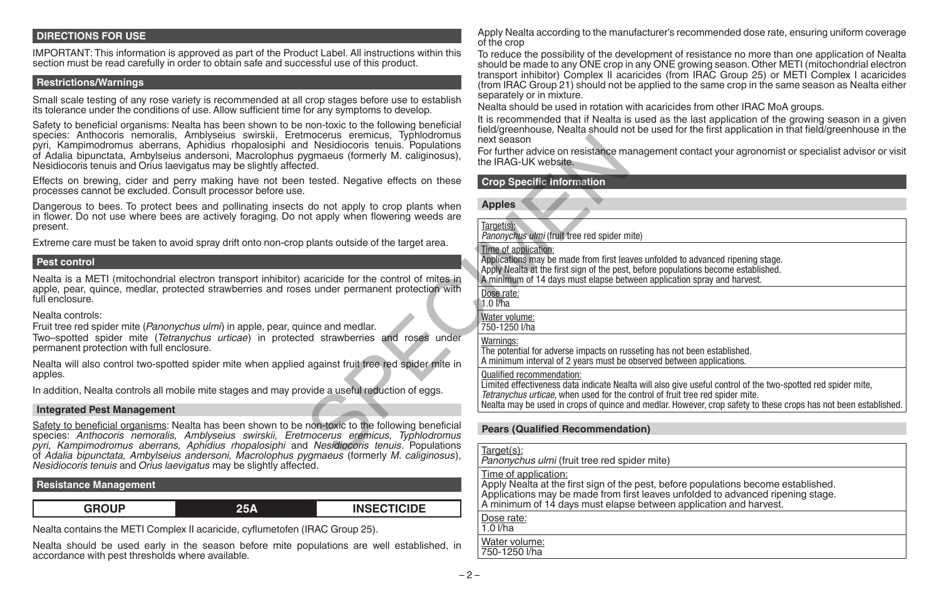## **DIRECTIONS FOR USE**

IMPORTANT: This information is approved as part of the Product Label. All instructions within this section must be read carefully in order to obtain safe and successful use of this product.

## **Restrictions/Warnings**

Small scale testing of any rose variety is recommended at all crop stages before use to establish its tolerance under the conditions of use. Allow sufficient time for any symptoms to develop.

Safety to beneficial organisms: Nealta has been shown to be non-toxic to the following beneficial species: Anthocoris nemoralis. Amblyseius swirskii. Eretmocerus eremicus. Typhlodromus species: Anthocoris nemoralis, Amblyseius swirskii, Eretmocerus eremicus, Typhlodromus pyri, Kampimodromus aberrans, Aphidius rhopalosiphi and Nesidiocoris tenuis. Populations of Adalia bipunctata, Ambylseius andersoni, Macrolophus pygmaeus (formerly M. caliginosus), Nesidiocoris tenuis and Orius laevigatus may be slightly affected.

Effects on brewing, cider and perry making have not been tested. Negative effects on these processes cannot be excluded. Consult processor before use.

Dangerous to bees. To protect bees and pollinating insects do not apply to crop plants when in flower. Do not use where bees are actively foraging. Do not apply when flowering weeds are present.

Extreme care must be taken to avoid spray drift onto non-crop plants outside of the target area.

#### **Pest control**

Nealta is a METI (mitochondrial electron transport inhibitor) acaricide for the control of mites in apple, pear, quince, medlar, protected strawberries and roses under permanent protection with full enclosure.

#### Nealta controls:

Fruit tree red spider mite (*Panonychus ulmi*) in apple, pear, quince and medlar.

Two–spotted spider mite (*Tetranychus urticae*) in protected strawberries and roses under permanent protection with full enclosure.

Nealta will also control two-spotted spider mite when applied against fruit tree red spider mite in apples.

In addition, Nealta controls all mobile mite stages and may provide a useful reduction of eggs.

#### **Integrated Pest Management**

Safety to beneficial organisms: Nealta has been shown to be non-toxic to the following beneficial species: *Anthocoris nemoralis, Amblyseius swirskii, Eretmocerus eremicus, Typhlodromus pyri, Kampimodromus aberrans, Aphidius rhopalosiphi* and *Nesidiocoris tenuis*. Populations of *Adalia bipunctata, Ambylseius andersoni, Macrolophus pygmaeus* (formerly *M. caliginosus*), *Nesidiocoris tenuis* and *Orius laevigatus* may be slightly affected. mocerus eremicus, imploations<br>
Nesidiocoris tenuis. Populations<br>
In the IRAG-UK website.<br>
The IRAG-UK website.<br>
The IRAG-UK website.<br>
The IRAG-UK website.<br>
The IRAG-UK website.<br>
The IRAG-UK website.<br>
The IRAG-UK website.<br>

## **Resistance Management**

**GROUP 25A INSECTICIDE**

Nealta contains the METI Complex II acaricide, cyflumetofen (IRAC Group 25).

Nealta should be used early in the season before mite populations are well established, in accordance with pest thresholds where available.

Apply Nealta according to the manufacturer's recommended dose rate, ensuring uniform coverage of the crop

To reduce the possibility of the development of resistance no more than one application of Nealta should be made to any ONE crop in any ONE growing season. Other METI (mitochondrial electron transport inhibitor) Complex II acaricides (from IRAC Group 25) or METI Complex I acaricides (from IRAC Group 21) should not be applied to the same crop in the same season as Nealta either separately or in mixture.

Nealta should be used in rotation with acaricides from other IRAC MoA groups.

It is recommended that if Nealta is used as the last application of the growing season in a given field/greenhouse, Nealta should not be used for the first application in that field/greenhouse in the next season

For further advice on resistance management contact your agronomist or specialist advisor or visit the IRAG-UK website.

#### **Crop Specific Information**

| opies         |  |
|---------------|--|
| Target<br>וטי |  |

*Panonychus ulmi* (fruit tree red spider mite)

#### Time of application:

Applications may be made from first leaves unfolded to advanced ripening stage. Apply Nealta at the first sign of the pest, before populations become established. A minimum of 14 days must elapse between application spray and harvest.

Dose rate:

 $1.0$   $M$ ha

Water volume:

750-1250 l/ha

## Warnings:

The potential for adverse impacts on russeting has not been established. A minimum interval of 2 years must be observed between applications.

### Qualified recommendation:

Limited effectiveness data indicate Nealta will also give useful control of the two-spotted red spider mite, *Tetranychus urticae*, when used for the control of fruit tree red spider mite.

Nealta may be used in crops of quince and medlar. However, crop safety to these crops has not been established.

## **Pears (Qualified Recommendation)**

| Target(s):<br>Panonychus ulm |  |
|------------------------------|--|
|                              |  |

*<i>ni* (fruit tree red spider mite) Time of application:

Apply Nealta at the first sign of the pest, before populations become established. Applications may be made from first leaves unfolded to advanced ripening stage. A minimum of 14 days must elapse between application and harvest.

Dose rate: 1.0 l/ha

Water volume:

750-1250 l/ha

 $-2-$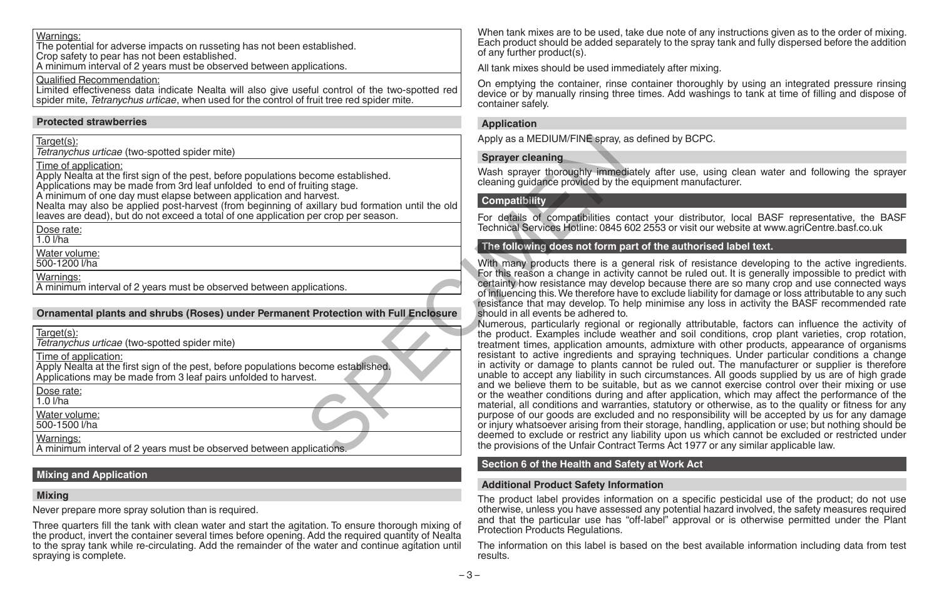## Warnings:

The potential for adverse impacts on russeting has not been established. Crop safety to pear has not been established.

A minimum interval of 2 years must be observed between applications.

Qualified Recommendation:

Limited effectiveness data indicate Nealta will also give useful control of the two-spotted red spider mite, *Tetranychus urticae*, when used for the control of fruit tree red spider mite.

## **Protected strawberries**

## **Ornamental plants and shrubs (Roses) under Permanent Protection with Full Enclosure**

| <b>Sprayer cleaning</b><br>Time of application:<br>Wash sprayer thoroughly immedi<br>Apply Nealta at the first sign of the pest, before populations become established.<br>cleaning guidance provided by the<br>Applications may be made from 3rd leaf unfolded to end of fruiting stage.<br>A minimum of one day must elapse between application and harvest.<br>Compatibility<br>Nealta may also be applied post-harvest (from beginning of axillary bud formation until the old<br>leaves are dead), but do not exceed a total of one application per crop per season.<br>For details of compatibilities cor<br>Technical Services Hotline: 0845 6<br>Dose rate:<br>$1.0$ $I/ha$<br>The following does not form pa<br>Water volume:<br>500-1200 l/ha<br>With many products there is a go<br>For this reason a change in activit<br>Warnings:<br>certainty how resistance may deve<br>A minimum interval of 2 years must be observed between applications.<br>of influencing this. We therefore hav<br>resistance that may develop. To he<br>Ornamental plants and shrubs (Roses) under Permanent Protection with Full Enclosure<br>should in all events be adhered to.<br>Numerous, particularly regional o<br>Target(s):<br>the product. Examples include we<br>Tetranychus urticae (two-spotted spider mite)<br>treatment times, application amou<br>resistant to active ingredients and<br>Time of application:<br>in activity or damage to plants ca<br>Apply Nealta at the first sign of the pest, before populations become established.<br>unable to accept any liability in su<br>Applications may be made from 3 leaf pairs unfolded to harvest.<br>and we believe them to be suitab<br>Dose rate:<br>or the weather conditions during a<br>$1.0$ $I/ha$<br>material, all conditions and warrar<br>Water volume:<br>purpose of our goods are exclude<br>500-1500 l/ha<br>or injury whatsoever arising from th<br>deemed to exclude or restrict any<br>Warnings:<br>the provisions of the Unfair Contrac | Target(s):                                                           | Apply as a MEDIUM/FINE spray, a |
|---------------------------------------------------------------------------------------------------------------------------------------------------------------------------------------------------------------------------------------------------------------------------------------------------------------------------------------------------------------------------------------------------------------------------------------------------------------------------------------------------------------------------------------------------------------------------------------------------------------------------------------------------------------------------------------------------------------------------------------------------------------------------------------------------------------------------------------------------------------------------------------------------------------------------------------------------------------------------------------------------------------------------------------------------------------------------------------------------------------------------------------------------------------------------------------------------------------------------------------------------------------------------------------------------------------------------------------------------------------------------------------------------------------------------------------------------------------------------------------------------------------------------------------------------------------------------------------------------------------------------------------------------------------------------------------------------------------------------------------------------------------------------------------------------------------------------------------------------------------------------------------------------------------------------------------------------------------------------------------------------------------------|----------------------------------------------------------------------|---------------------------------|
|                                                                                                                                                                                                                                                                                                                                                                                                                                                                                                                                                                                                                                                                                                                                                                                                                                                                                                                                                                                                                                                                                                                                                                                                                                                                                                                                                                                                                                                                                                                                                                                                                                                                                                                                                                                                                                                                                                                                                                                                                     | Tetranychus urticae (two-spotted spider mite)                        |                                 |
|                                                                                                                                                                                                                                                                                                                                                                                                                                                                                                                                                                                                                                                                                                                                                                                                                                                                                                                                                                                                                                                                                                                                                                                                                                                                                                                                                                                                                                                                                                                                                                                                                                                                                                                                                                                                                                                                                                                                                                                                                     |                                                                      |                                 |
|                                                                                                                                                                                                                                                                                                                                                                                                                                                                                                                                                                                                                                                                                                                                                                                                                                                                                                                                                                                                                                                                                                                                                                                                                                                                                                                                                                                                                                                                                                                                                                                                                                                                                                                                                                                                                                                                                                                                                                                                                     |                                                                      |                                 |
|                                                                                                                                                                                                                                                                                                                                                                                                                                                                                                                                                                                                                                                                                                                                                                                                                                                                                                                                                                                                                                                                                                                                                                                                                                                                                                                                                                                                                                                                                                                                                                                                                                                                                                                                                                                                                                                                                                                                                                                                                     |                                                                      |                                 |
|                                                                                                                                                                                                                                                                                                                                                                                                                                                                                                                                                                                                                                                                                                                                                                                                                                                                                                                                                                                                                                                                                                                                                                                                                                                                                                                                                                                                                                                                                                                                                                                                                                                                                                                                                                                                                                                                                                                                                                                                                     |                                                                      |                                 |
|                                                                                                                                                                                                                                                                                                                                                                                                                                                                                                                                                                                                                                                                                                                                                                                                                                                                                                                                                                                                                                                                                                                                                                                                                                                                                                                                                                                                                                                                                                                                                                                                                                                                                                                                                                                                                                                                                                                                                                                                                     |                                                                      |                                 |
|                                                                                                                                                                                                                                                                                                                                                                                                                                                                                                                                                                                                                                                                                                                                                                                                                                                                                                                                                                                                                                                                                                                                                                                                                                                                                                                                                                                                                                                                                                                                                                                                                                                                                                                                                                                                                                                                                                                                                                                                                     |                                                                      |                                 |
|                                                                                                                                                                                                                                                                                                                                                                                                                                                                                                                                                                                                                                                                                                                                                                                                                                                                                                                                                                                                                                                                                                                                                                                                                                                                                                                                                                                                                                                                                                                                                                                                                                                                                                                                                                                                                                                                                                                                                                                                                     |                                                                      |                                 |
|                                                                                                                                                                                                                                                                                                                                                                                                                                                                                                                                                                                                                                                                                                                                                                                                                                                                                                                                                                                                                                                                                                                                                                                                                                                                                                                                                                                                                                                                                                                                                                                                                                                                                                                                                                                                                                                                                                                                                                                                                     |                                                                      |                                 |
|                                                                                                                                                                                                                                                                                                                                                                                                                                                                                                                                                                                                                                                                                                                                                                                                                                                                                                                                                                                                                                                                                                                                                                                                                                                                                                                                                                                                                                                                                                                                                                                                                                                                                                                                                                                                                                                                                                                                                                                                                     |                                                                      |                                 |
|                                                                                                                                                                                                                                                                                                                                                                                                                                                                                                                                                                                                                                                                                                                                                                                                                                                                                                                                                                                                                                                                                                                                                                                                                                                                                                                                                                                                                                                                                                                                                                                                                                                                                                                                                                                                                                                                                                                                                                                                                     |                                                                      |                                 |
|                                                                                                                                                                                                                                                                                                                                                                                                                                                                                                                                                                                                                                                                                                                                                                                                                                                                                                                                                                                                                                                                                                                                                                                                                                                                                                                                                                                                                                                                                                                                                                                                                                                                                                                                                                                                                                                                                                                                                                                                                     |                                                                      |                                 |
|                                                                                                                                                                                                                                                                                                                                                                                                                                                                                                                                                                                                                                                                                                                                                                                                                                                                                                                                                                                                                                                                                                                                                                                                                                                                                                                                                                                                                                                                                                                                                                                                                                                                                                                                                                                                                                                                                                                                                                                                                     |                                                                      |                                 |
|                                                                                                                                                                                                                                                                                                                                                                                                                                                                                                                                                                                                                                                                                                                                                                                                                                                                                                                                                                                                                                                                                                                                                                                                                                                                                                                                                                                                                                                                                                                                                                                                                                                                                                                                                                                                                                                                                                                                                                                                                     | A minimum interval of 2 years must be observed between applications. |                                 |

## **Mixing and Application**

## **Mixing**

Never prepare more spray solution than is required.

Three quarters fill the tank with clean water and start the agitation. To ensure thorough mixing of the product, invert the container several times before opening. Add the required quantity of Nealta to the spray tank while re-circulating. Add the remainder of the water and continue agitation until spraying is complete.

When tank mixes are to be used, take due note of any instructions given as to the order of mixing. Each product should be added separately to the spray tank and fully dispersed before the addition of any further product(s).

All tank mixes should be used immediately after mixing.

On emptying the container, rinse container thoroughly by using an integrated pressure rinsing device or by manually rinsing three times. Add washings to tank at time of filling and dispose of container safely.

## **Application**

Apply as a MEDIUM/FINE spray, as defined by BCPC.

## **Sprayer cleaning**

Wash sprayer thoroughly immediately after use, using clean water and following the sprayer cleaning guidance provided by the equipment manufacturer.

## **Compatibility**

For details of compatibilities contact your distributor, local BASF representative, the BASF Technical Services Hotline: 0845 602 2553 or visit our website at www.agriCentre.basf.co.uk

## **The following does not form part of the authorised label text.**

With many products there is a general risk of resistance developing to the active ingredients. For this reason a change in activity cannot be ruled out. It is generally impossible to predict with certainty how resistance may develop because there are so many crop and use connected ways of influencing this. We therefore have to exclude liability for damage or loss attributable to any such resistance that may develop. To help minimise any loss in activity the BASF recommended rate should in all events be adhered to.

Numerous, particularly regional or regionally attributable, factors can influence the activity of the product. Examples include weather and soil conditions, crop plant varieties, crop rotation, treatment times, application amounts, admixture with other products, appearance of organisms resistant to active ingredients and spraying techniques. Under particular conditions a change in activity or damage to plants cannot be ruled out. The manufacturer or supplier is therefore unable to accept any liability in such circumstances. All goods supplied by us are of high grade and we believe them to be suitable, but as we cannot exercise control over their mixing or use or the weather conditions during and after application, which may affect the performance of the material, all conditions and warranties, statutory or otherwise, as to the quality or fitness for any purpose of our goods are excluded and no responsibility will be accepted by us for any damage or injury whatsoever arising from their storage, handling, application or use; but nothing should be deemed to exclude or restrict any liability upon us which cannot be excluded or restricted under the provisions of the Unfair Contract Terms Act 1977 or any similar applicable law.

## **Section 6 of the Health and Safety at Work Act**

## **Additional Product Safety Information**

The product label provides information on a specific pesticidal use of the product; do not use otherwise, unless you have assessed any potential hazard involved, the safety measures required and that the particular use has "off-label" approval or is otherwise permitted under the Plant Protection Products Regulations.

The information on this label is based on the best available information including data from test results.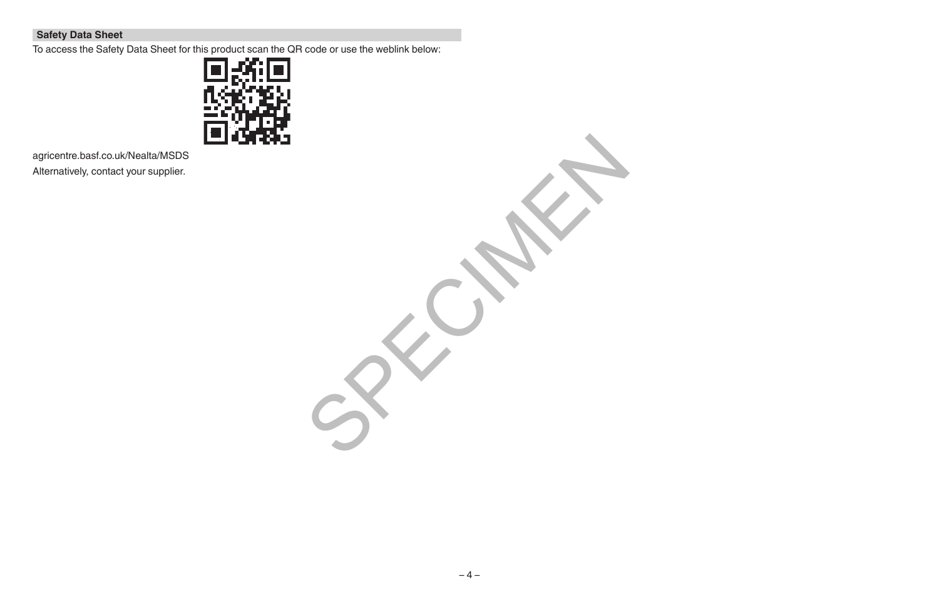## **Safety Data Sheet**

To access the Safety Data Sheet for this product scan the QR code or use the weblink below:



agricentre.basf.co.uk/Nealta/MSDS Alternatively, contact your supplier.

SPECIALLY